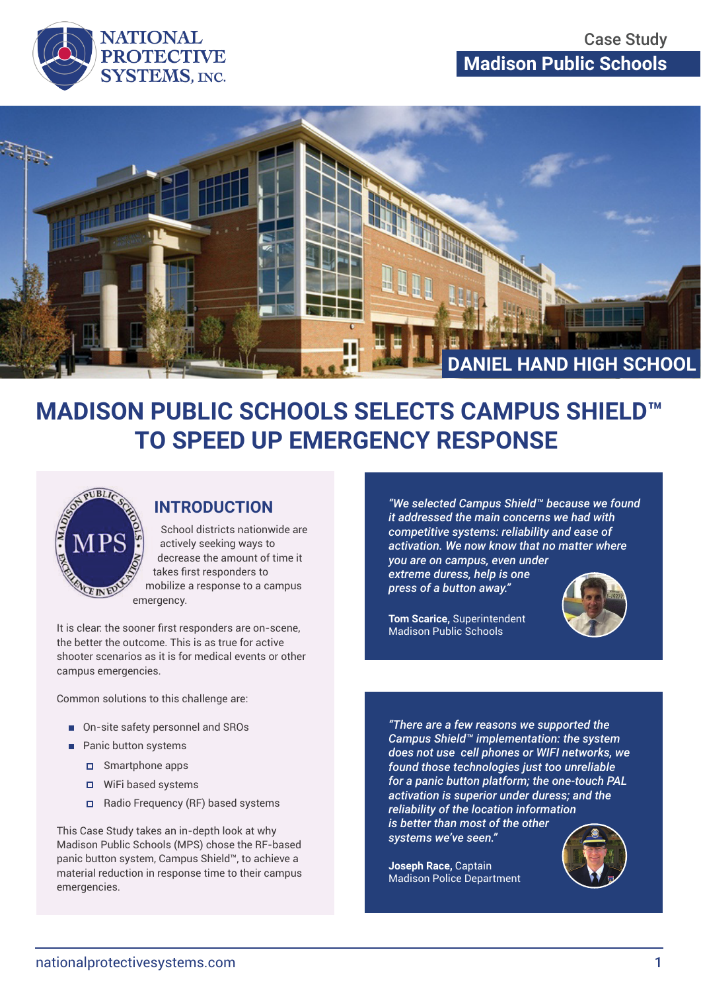



# **MADISON PUBLIC SCHOOLS SELECTS CAMPUS SHIELD™ TO SPEED UP EMERGENCY RESPONSE**



### **INTRODUCTION**

School districts nationwide are actively seeking ways to decrease the amount of time it takes first responders to mobilize a response to a campus emergency.

It is clear: the sooner first responders are on-scene, the better the outcome. This is as true for active shooter scenarios as it is for medical events or other campus emergencies.

Common solutions to this challenge are:

- On-site safety personnel and SROs
- **Panic button systems** 
	- Smartphone apps
	- WiFi based systems
	- $\Box$  Radio Frequency (RF) based systems

This Case Study takes an in-depth look at why Madison Public Schools (MPS) chose the RF-based panic button system, Campus Shield™, to achieve a material reduction in response time to their campus emergencies.

*"We selected Campus Shield™ because we found it addressed the main concerns we had with competitive systems: reliability and ease of activation. We now know that no matter where you are on campus, even under* 

*extreme duress, help is one press of a button away."*



**Tom Scarice,** Superintendent Madison Public Schools

*"There are a few reasons we supported the Campus Shield™ implementation: the system does not use cell phones or WIFI networks, we found those technologies just too unreliable for a panic button platform; the one-touch PAL activation is superior under duress; and the reliability of the location information is better than most of the other systems we've seen."*

**Joseph Race,** Captain Madison Police Department